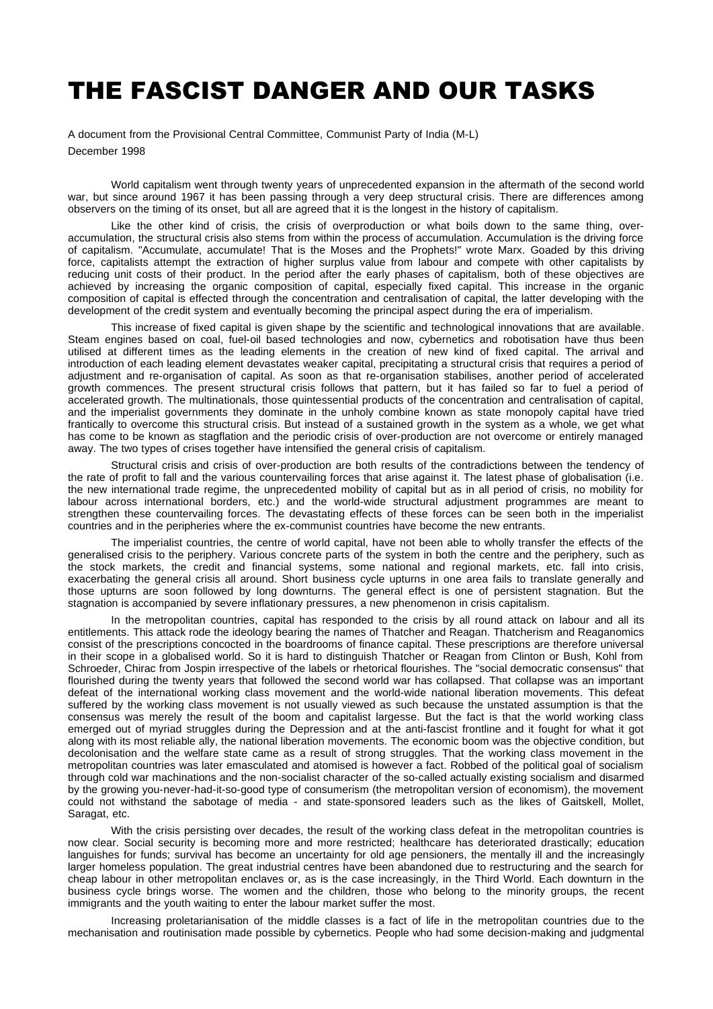# THE FASCIST DANGER AND OUR TASKS

A document from the Provisional Central Committee, Communist Party of India (M-L) December 1998

World capitalism went through twenty years of unprecedented expansion in the aftermath of the second world war, but since around 1967 it has been passing through a very deep structural crisis. There are differences among observers on the timing of its onset, but all are agreed that it is the longest in the history of capitalism.

Like the other kind of crisis, the crisis of overproduction or what boils down to the same thing, overaccumulation, the structural crisis also stems from within the process of accumulation. Accumulation is the driving force of capitalism. "Accumulate, accumulate! That is the Moses and the Prophets!" wrote Marx. Goaded by this driving force, capitalists attempt the extraction of higher surplus value from labour and compete with other capitalists by reducing unit costs of their product. In the period after the early phases of capitalism, both of these objectives are achieved by increasing the organic composition of capital, especially fixed capital. This increase in the organic composition of capital is effected through the concentration and centralisation of capital, the latter developing with the development of the credit system and eventually becoming the principal aspect during the era of imperialism.

This increase of fixed capital is given shape by the scientific and technological innovations that are available. Steam engines based on coal, fuel-oil based technologies and now, cybernetics and robotisation have thus been utilised at different times as the leading elements in the creation of new kind of fixed capital. The arrival and introduction of each leading element devastates weaker capital, precipitating a structural crisis that requires a period of adjustment and re-organisation of capital. As soon as that re-organisation stabilises, another period of accelerated growth commences. The present structural crisis follows that pattern, but it has failed so far to fuel a period of accelerated growth. The multinationals, those quintessential products of the concentration and centralisation of capital, and the imperialist governments they dominate in the unholy combine known as state monopoly capital have tried frantically to overcome this structural crisis. But instead of a sustained growth in the system as a whole, we get what has come to be known as stagflation and the periodic crisis of over-production are not overcome or entirely managed away. The two types of crises together have intensified the general crisis of capitalism.

Structural crisis and crisis of over-production are both results of the contradictions between the tendency of the rate of profit to fall and the various countervailing forces that arise against it. The latest phase of globalisation (i.e. the new international trade regime, the unprecedented mobility of capital but as in all period of crisis, no mobility for labour across international borders, etc.) and the world-wide structural adjustment programmes are meant to strengthen these countervailing forces. The devastating effects of these forces can be seen both in the imperialist countries and in the peripheries where the ex-communist countries have become the new entrants.

The imperialist countries, the centre of world capital, have not been able to wholly transfer the effects of the generalised crisis to the periphery. Various concrete parts of the system in both the centre and the periphery, such as the stock markets, the credit and financial systems, some national and regional markets, etc. fall into crisis, exacerbating the general crisis all around. Short business cycle upturns in one area fails to translate generally and those upturns are soon followed by long downturns. The general effect is one of persistent stagnation. But the stagnation is accompanied by severe inflationary pressures, a new phenomenon in crisis capitalism.

In the metropolitan countries, capital has responded to the crisis by all round attack on labour and all its entitlements. This attack rode the ideology bearing the names of Thatcher and Reagan. Thatcherism and Reaganomics consist of the prescriptions concocted in the boardrooms of finance capital. These prescriptions are therefore universal in their scope in a globalised world. So it is hard to distinguish Thatcher or Reagan from Clinton or Bush, Kohl from Schroeder, Chirac from Jospin irrespective of the labels or rhetorical flourishes. The "social democratic consensus" that flourished during the twenty years that followed the second world war has collapsed. That collapse was an important defeat of the international working class movement and the world-wide national liberation movements. This defeat suffered by the working class movement is not usually viewed as such because the unstated assumption is that the consensus was merely the result of the boom and capitalist largesse. But the fact is that the world working class emerged out of myriad struggles during the Depression and at the anti-fascist frontline and it fought for what it got along with its most reliable ally, the national liberation movements. The economic boom was the objective condition, but decolonisation and the welfare state came as a result of strong struggles. That the working class movement in the metropolitan countries was later emasculated and atomised is however a fact. Robbed of the political goal of socialism through cold war machinations and the non-socialist character of the so-called actually existing socialism and disarmed by the growing you-never-had-it-so-good type of consumerism (the metropolitan version of economism), the movement could not withstand the sabotage of media - and state-sponsored leaders such as the likes of Gaitskell, Mollet, Saragat, etc.

With the crisis persisting over decades, the result of the working class defeat in the metropolitan countries is now clear. Social security is becoming more and more restricted; healthcare has deteriorated drastically; education languishes for funds; survival has become an uncertainty for old age pensioners, the mentally ill and the increasingly larger homeless population. The great industrial centres have been abandoned due to restructuring and the search for cheap labour in other metropolitan enclaves or, as is the case increasingly, in the Third World. Each downturn in the business cycle brings worse. The women and the children, those who belong to the minority groups, the recent immigrants and the youth waiting to enter the labour market suffer the most.

Increasing proletarianisation of the middle classes is a fact of life in the metropolitan countries due to the mechanisation and routinisation made possible by cybernetics. People who had some decision-making and judgmental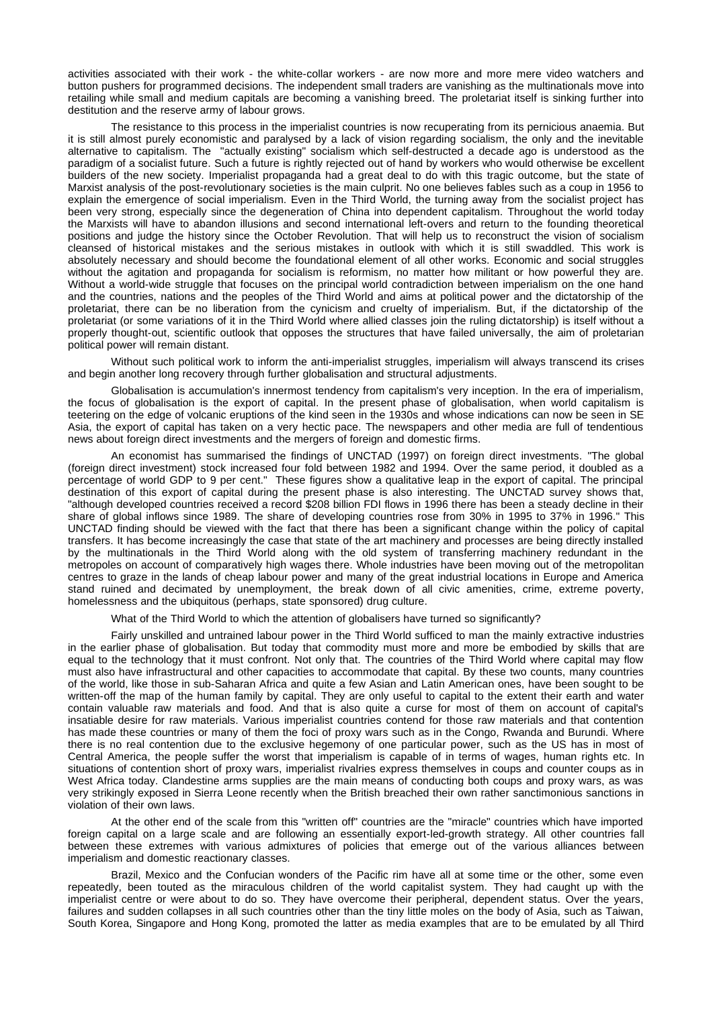activities associated with their work - the white-collar workers - are now more and more mere video watchers and button pushers for programmed decisions. The independent small traders are vanishing as the multinationals move into retailing while small and medium capitals are becoming a vanishing breed. The proletariat itself is sinking further into destitution and the reserve army of labour grows.

The resistance to this process in the imperialist countries is now recuperating from its pernicious anaemia. But it is still almost purely economistic and paralysed by a lack of vision regarding socialism, the only and the inevitable alternative to capitalism. The "actually existing" socialism which self-destructed a decade ago is understood as the paradigm of a socialist future. Such a future is rightly rejected out of hand by workers who would otherwise be excellent builders of the new society. Imperialist propaganda had a great deal to do with this tragic outcome, but the state of Marxist analysis of the post-revolutionary societies is the main culprit. No one believes fables such as a coup in 1956 to explain the emergence of social imperialism. Even in the Third World, the turning away from the socialist project has been very strong, especially since the degeneration of China into dependent capitalism. Throughout the world today the Marxists will have to abandon illusions and second international left-overs and return to the founding theoretical positions and judge the history since the October Revolution. That will help us to reconstruct the vision of socialism cleansed of historical mistakes and the serious mistakes in outlook with which it is still swaddled. This work is absolutely necessary and should become the foundational element of all other works. Economic and social struggles without the agitation and propaganda for socialism is reformism, no matter how militant or how powerful they are. Without a world-wide struggle that focuses on the principal world contradiction between imperialism on the one hand and the countries, nations and the peoples of the Third World and aims at political power and the dictatorship of the proletariat, there can be no liberation from the cynicism and cruelty of imperialism. But, if the dictatorship of the proletariat (or some variations of it in the Third World where allied classes join the ruling dictatorship) is itself without a properly thought-out, scientific outlook that opposes the structures that have failed universally, the aim of proletarian political power will remain distant.

Without such political work to inform the anti-imperialist struggles, imperialism will always transcend its crises and begin another long recovery through further globalisation and structural adjustments.

Globalisation is accumulation's innermost tendency from capitalism's very inception. In the era of imperialism, the focus of globalisation is the export of capital. In the present phase of globalisation, when world capitalism is teetering on the edge of volcanic eruptions of the kind seen in the 1930s and whose indications can now be seen in SE Asia, the export of capital has taken on a very hectic pace. The newspapers and other media are full of tendentious news about foreign direct investments and the mergers of foreign and domestic firms.

An economist has summarised the findings of UNCTAD (1997) on foreign direct investments. "The global (foreign direct investment) stock increased four fold between 1982 and 1994. Over the same period, it doubled as a percentage of world GDP to 9 per cent." These figures show a qualitative leap in the export of capital. The principal destination of this export of capital during the present phase is also interesting. The UNCTAD survey shows that, "although developed countries received a record \$208 billion FDI flows in 1996 there has been a steady decline in their share of global inflows since 1989. The share of developing countries rose from 30% in 1995 to 37% in 1996." This UNCTAD finding should be viewed with the fact that there has been a significant change within the policy of capital transfers. It has become increasingly the case that state of the art machinery and processes are being directly installed by the multinationals in the Third World along with the old system of transferring machinery redundant in the metropoles on account of comparatively high wages there. Whole industries have been moving out of the metropolitan centres to graze in the lands of cheap labour power and many of the great industrial locations in Europe and America stand ruined and decimated by unemployment, the break down of all civic amenities, crime, extreme poverty, homelessness and the ubiquitous (perhaps, state sponsored) drug culture.

What of the Third World to which the attention of globalisers have turned so significantly?

Fairly unskilled and untrained labour power in the Third World sufficed to man the mainly extractive industries in the earlier phase of globalisation. But today that commodity must more and more be embodied by skills that are equal to the technology that it must confront. Not only that. The countries of the Third World where capital may flow must also have infrastructural and other capacities to accommodate that capital. By these two counts, many countries of the world, like those in sub-Saharan Africa and quite a few Asian and Latin American ones, have been sought to be written-off the map of the human family by capital. They are only useful to capital to the extent their earth and water contain valuable raw materials and food. And that is also quite a curse for most of them on account of capital's insatiable desire for raw materials. Various imperialist countries contend for those raw materials and that contention has made these countries or many of them the foci of proxy wars such as in the Congo, Rwanda and Burundi. Where there is no real contention due to the exclusive hegemony of one particular power, such as the US has in most of Central America, the people suffer the worst that imperialism is capable of in terms of wages, human rights etc. In situations of contention short of proxy wars, imperialist rivalries express themselves in coups and counter coups as in West Africa today. Clandestine arms supplies are the main means of conducting both coups and proxy wars, as was very strikingly exposed in Sierra Leone recently when the British breached their own rather sanctimonious sanctions in violation of their own laws.

At the other end of the scale from this "written off" countries are the "miracle" countries which have imported foreign capital on a large scale and are following an essentially export-led-growth strategy. All other countries fall between these extremes with various admixtures of policies that emerge out of the various alliances between imperialism and domestic reactionary classes.

Brazil, Mexico and the Confucian wonders of the Pacific rim have all at some time or the other, some even repeatedly, been touted as the miraculous children of the world capitalist system. They had caught up with the imperialist centre or were about to do so. They have overcome their peripheral, dependent status. Over the years, failures and sudden collapses in all such countries other than the tiny little moles on the body of Asia, such as Taiwan, South Korea, Singapore and Hong Kong, promoted the latter as media examples that are to be emulated by all Third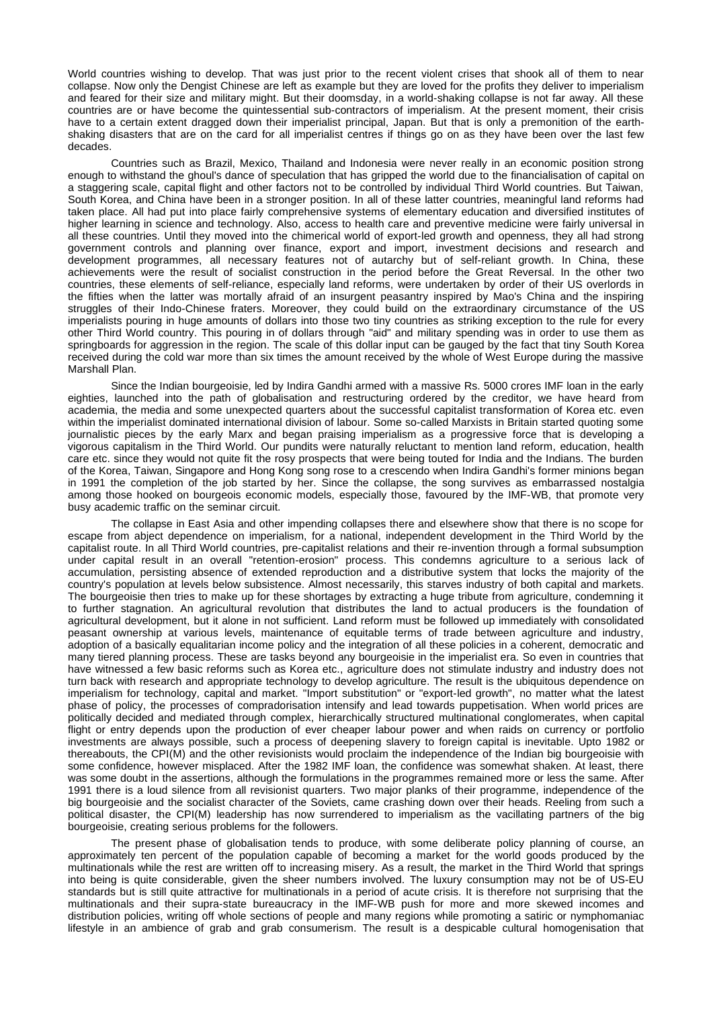World countries wishing to develop. That was just prior to the recent violent crises that shook all of them to near collapse. Now only the Dengist Chinese are left as example but they are loved for the profits they deliver to imperialism and feared for their size and military might. But their doomsday, in a world-shaking collapse is not far away. All these countries are or have become the quintessential sub-contractors of imperialism. At the present moment, their crisis have to a certain extent dragged down their imperialist principal, Japan. But that is only a premonition of the earthshaking disasters that are on the card for all imperialist centres if things go on as they have been over the last few decades.

Countries such as Brazil, Mexico, Thailand and Indonesia were never really in an economic position strong enough to withstand the ghoul's dance of speculation that has gripped the world due to the financialisation of capital on a staggering scale, capital flight and other factors not to be controlled by individual Third World countries. But Taiwan, South Korea, and China have been in a stronger position. In all of these latter countries, meaningful land reforms had taken place. All had put into place fairly comprehensive systems of elementary education and diversified institutes of higher learning in science and technology. Also, access to health care and preventive medicine were fairly universal in all these countries. Until they moved into the chimerical world of export-led growth and openness, they all had strong government controls and planning over finance, export and import, investment decisions and research and development programmes, all necessary features not of autarchy but of self-reliant growth. In China, these achievements were the result of socialist construction in the period before the Great Reversal. In the other two countries, these elements of self-reliance, especially land reforms, were undertaken by order of their US overlords in the fifties when the latter was mortally afraid of an insurgent peasantry inspired by Mao's China and the inspiring struggles of their Indo-Chinese fraters. Moreover, they could build on the extraordinary circumstance of the US imperialists pouring in huge amounts of dollars into those two tiny countries as striking exception to the rule for every other Third World country. This pouring in of dollars through "aid" and military spending was in order to use them as springboards for aggression in the region. The scale of this dollar input can be gauged by the fact that tiny South Korea received during the cold war more than six times the amount received by the whole of West Europe during the massive Marshall Plan.

Since the Indian bourgeoisie, led by Indira Gandhi armed with a massive Rs. 5000 crores IMF loan in the early eighties, launched into the path of globalisation and restructuring ordered by the creditor, we have heard from academia, the media and some unexpected quarters about the successful capitalist transformation of Korea etc. even within the imperialist dominated international division of labour. Some so-called Marxists in Britain started quoting some journalistic pieces by the early Marx and began praising imperialism as a progressive force that is developing a vigorous capitalism in the Third World. Our pundits were naturally reluctant to mention land reform, education, health care etc. since they would not quite fit the rosy prospects that were being touted for India and the Indians. The burden of the Korea, Taiwan, Singapore and Hong Kong song rose to a crescendo when Indira Gandhi's former minions began in 1991 the completion of the job started by her. Since the collapse, the song survives as embarrassed nostalgia among those hooked on bourgeois economic models, especially those, favoured by the IMF-WB, that promote very busy academic traffic on the seminar circuit.

The collapse in East Asia and other impending collapses there and elsewhere show that there is no scope for escape from abject dependence on imperialism, for a national, independent development in the Third World by the capitalist route. In all Third World countries, pre-capitalist relations and their re-invention through a formal subsumption under capital result in an overall "retention-erosion" process. This condemns agriculture to a serious lack of accumulation, persisting absence of extended reproduction and a distributive system that locks the majority of the country's population at levels below subsistence. Almost necessarily, this starves industry of both capital and markets. The bourgeoisie then tries to make up for these shortages by extracting a huge tribute from agriculture, condemning it to further stagnation. An agricultural revolution that distributes the land to actual producers is the foundation of agricultural development, but it alone in not sufficient. Land reform must be followed up immediately with consolidated peasant ownership at various levels, maintenance of equitable terms of trade between agriculture and industry, adoption of a basically equalitarian income policy and the integration of all these policies in a coherent, democratic and many tiered planning process. These are tasks beyond any bourgeoisie in the imperialist era. So even in countries that have witnessed a few basic reforms such as Korea etc., agriculture does not stimulate industry and industry does not turn back with research and appropriate technology to develop agriculture. The result is the ubiquitous dependence on imperialism for technology, capital and market. "Import substitution" or "export-led growth", no matter what the latest phase of policy, the processes of compradorisation intensify and lead towards puppetisation. When world prices are politically decided and mediated through complex, hierarchically structured multinational conglomerates, when capital flight or entry depends upon the production of ever cheaper labour power and when raids on currency or portfolio investments are always possible, such a process of deepening slavery to foreign capital is inevitable. Upto 1982 or thereabouts, the CPI(M) and the other revisionists would proclaim the independence of the Indian big bourgeoisie with some confidence, however misplaced. After the 1982 IMF loan, the confidence was somewhat shaken. At least, there was some doubt in the assertions, although the formulations in the programmes remained more or less the same. After 1991 there is a loud silence from all revisionist quarters. Two major planks of their programme, independence of the big bourgeoisie and the socialist character of the Soviets, came crashing down over their heads. Reeling from such a political disaster, the CPI(M) leadership has now surrendered to imperialism as the vacillating partners of the big bourgeoisie, creating serious problems for the followers.

The present phase of globalisation tends to produce, with some deliberate policy planning of course, an approximately ten percent of the population capable of becoming a market for the world goods produced by the multinationals while the rest are written off to increasing misery. As a result, the market in the Third World that springs into being is quite considerable, given the sheer numbers involved. The luxury consumption may not be of US-EU standards but is still quite attractive for multinationals in a period of acute crisis. It is therefore not surprising that the multinationals and their supra-state bureaucracy in the IMF-WB push for more and more skewed incomes and distribution policies, writing off whole sections of people and many regions while promoting a satiric or nymphomaniac lifestyle in an ambience of grab and grab consumerism. The result is a despicable cultural homogenisation that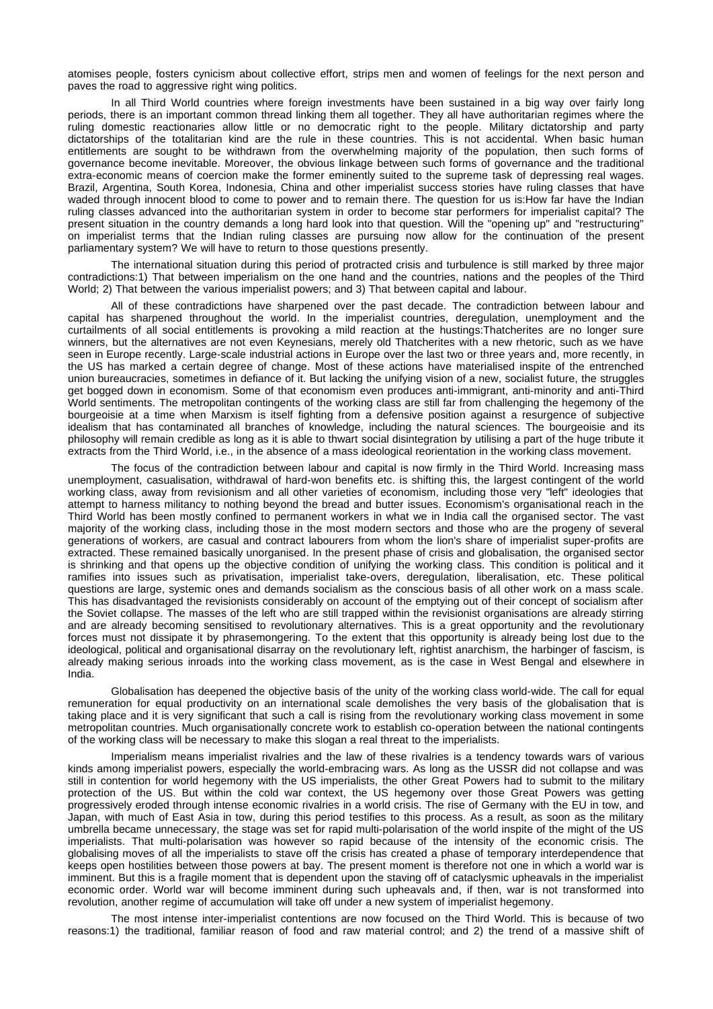atomises people, fosters cynicism about collective effort, strips men and women of feelings for the next person and paves the road to aggressive right wing politics.

In all Third World countries where foreign investments have been sustained in a big way over fairly long periods, there is an important common thread linking them all together. They all have authoritarian regimes where the ruling domestic reactionaries allow little or no democratic right to the people. Military dictatorship and party dictatorships of the totalitarian kind are the rule in these countries. This is not accidental. When basic human entitlements are sought to be withdrawn from the overwhelming majority of the population, then such forms of governance become inevitable. Moreover, the obvious linkage between such forms of governance and the traditional extra-economic means of coercion make the former eminently suited to the supreme task of depressing real wages. Brazil, Argentina, South Korea, Indonesia, China and other imperialist success stories have ruling classes that have waded through innocent blood to come to power and to remain there. The question for us is:How far have the Indian ruling classes advanced into the authoritarian system in order to become star performers for imperialist capital? The present situation in the country demands a long hard look into that question. Will the "opening up" and "restructuring" on imperialist terms that the Indian ruling classes are pursuing now allow for the continuation of the present parliamentary system? We will have to return to those questions presently.

The international situation during this period of protracted crisis and turbulence is still marked by three major contradictions:1) That between imperialism on the one hand and the countries, nations and the peoples of the Third World; 2) That between the various imperialist powers; and 3) That between capital and labour.

All of these contradictions have sharpened over the past decade. The contradiction between labour and capital has sharpened throughout the world. In the imperialist countries, deregulation, unemployment and the curtailments of all social entitlements is provoking a mild reaction at the hustings:Thatcherites are no longer sure winners, but the alternatives are not even Keynesians, merely old Thatcherites with a new rhetoric, such as we have seen in Europe recently. Large-scale industrial actions in Europe over the last two or three years and, more recently, in the US has marked a certain degree of change. Most of these actions have materialised inspite of the entrenched union bureaucracies, sometimes in defiance of it. But lacking the unifying vision of a new, socialist future, the struggles get bogged down in economism. Some of that economism even produces anti-immigrant, anti-minority and anti-Third World sentiments. The metropolitan contingents of the working class are still far from challenging the hegemony of the bourgeoisie at a time when Marxism is itself fighting from a defensive position against a resurgence of subjective idealism that has contaminated all branches of knowledge, including the natural sciences. The bourgeoisie and its philosophy will remain credible as long as it is able to thwart social disintegration by utilising a part of the huge tribute it extracts from the Third World, i.e., in the absence of a mass ideological reorientation in the working class movement.

The focus of the contradiction between labour and capital is now firmly in the Third World. Increasing mass unemployment, casualisation, withdrawal of hard-won benefits etc. is shifting this, the largest contingent of the world working class, away from revisionism and all other varieties of economism, including those very "left" ideologies that attempt to harness militancy to nothing beyond the bread and butter issues. Economism's organisational reach in the Third World has been mostly confined to permanent workers in what we in India call the organised sector. The vast majority of the working class, including those in the most modern sectors and those who are the progeny of several generations of workers, are casual and contract labourers from whom the lion's share of imperialist super-profits are extracted. These remained basically unorganised. In the present phase of crisis and globalisation, the organised sector is shrinking and that opens up the objective condition of unifying the working class. This condition is political and it ramifies into issues such as privatisation, imperialist take-overs, deregulation, liberalisation, etc. These political questions are large, systemic ones and demands socialism as the conscious basis of all other work on a mass scale. This has disadvantaged the revisionists considerably on account of the emptying out of their concept of socialism after the Soviet collapse. The masses of the left who are still trapped within the revisionist organisations are already stirring and are already becoming sensitised to revolutionary alternatives. This is a great opportunity and the revolutionary forces must not dissipate it by phrasemongering. To the extent that this opportunity is already being lost due to the ideological, political and organisational disarray on the revolutionary left, rightist anarchism, the harbinger of fascism, is already making serious inroads into the working class movement, as is the case in West Bengal and elsewhere in India.

Globalisation has deepened the objective basis of the unity of the working class world-wide. The call for equal remuneration for equal productivity on an international scale demolishes the very basis of the globalisation that is taking place and it is very significant that such a call is rising from the revolutionary working class movement in some metropolitan countries. Much organisationally concrete work to establish co-operation between the national contingents of the working class will be necessary to make this slogan a real threat to the imperialists.

Imperialism means imperialist rivalries and the law of these rivalries is a tendency towards wars of various kinds among imperialist powers, especially the world-embracing wars. As long as the USSR did not collapse and was still in contention for world hegemony with the US imperialists, the other Great Powers had to submit to the military protection of the US. But within the cold war context, the US hegemony over those Great Powers was getting progressively eroded through intense economic rivalries in a world crisis. The rise of Germany with the EU in tow, and Japan, with much of East Asia in tow, during this period testifies to this process. As a result, as soon as the military umbrella became unnecessary, the stage was set for rapid multi-polarisation of the world inspite of the might of the US imperialists. That multi-polarisation was however so rapid because of the intensity of the economic crisis. The globalising moves of all the imperialists to stave off the crisis has created a phase of temporary interdependence that keeps open hostilities between those powers at bay. The present moment is therefore not one in which a world war is imminent. But this is a fragile moment that is dependent upon the staving off of cataclysmic upheavals in the imperialist economic order. World war will become imminent during such upheavals and, if then, war is not transformed into revolution, another regime of accumulation will take off under a new system of imperialist hegemony.

The most intense inter-imperialist contentions are now focused on the Third World. This is because of two reasons:1) the traditional, familiar reason of food and raw material control; and 2) the trend of a massive shift of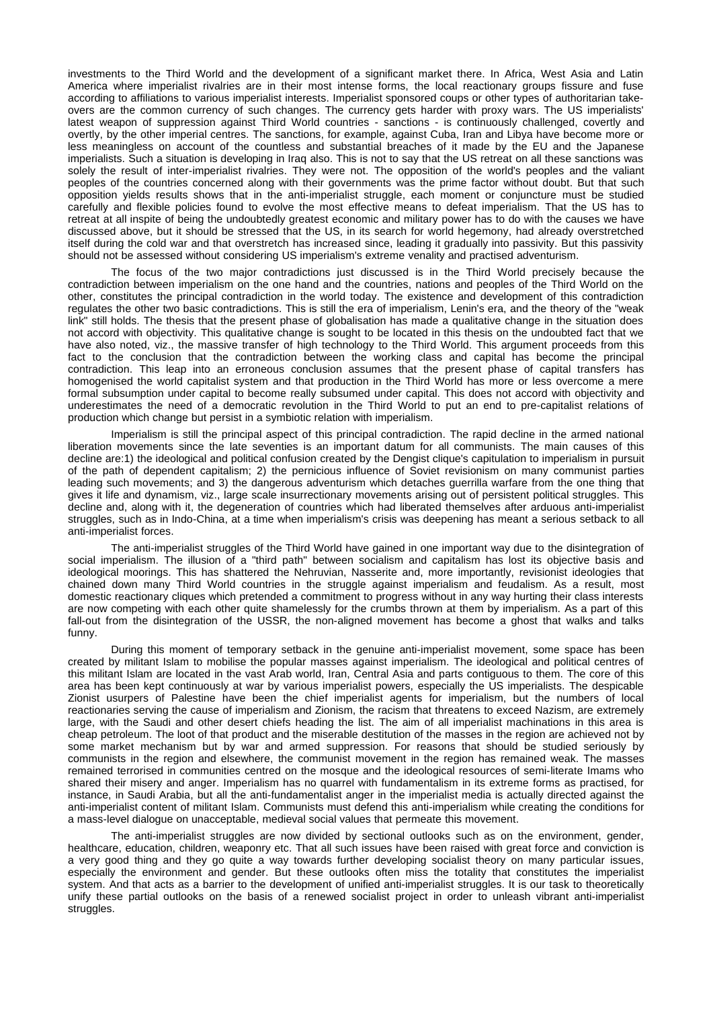investments to the Third World and the development of a significant market there. In Africa, West Asia and Latin America where imperialist rivalries are in their most intense forms, the local reactionary groups fissure and fuse according to affiliations to various imperialist interests. Imperialist sponsored coups or other types of authoritarian takeovers are the common currency of such changes. The currency gets harder with proxy wars. The US imperialists' latest weapon of suppression against Third World countries - sanctions - is continuously challenged, covertly and overtly, by the other imperial centres. The sanctions, for example, against Cuba, Iran and Libya have become more or less meaningless on account of the countless and substantial breaches of it made by the EU and the Japanese imperialists. Such a situation is developing in Iraq also. This is not to say that the US retreat on all these sanctions was solely the result of inter-imperialist rivalries. They were not. The opposition of the world's peoples and the valiant peoples of the countries concerned along with their governments was the prime factor without doubt. But that such opposition yields results shows that in the anti-imperialist struggle, each moment or conjuncture must be studied carefully and flexible policies found to evolve the most effective means to defeat imperialism. That the US has to retreat at all inspite of being the undoubtedly greatest economic and military power has to do with the causes we have discussed above, but it should be stressed that the US, in its search for world hegemony, had already overstretched itself during the cold war and that overstretch has increased since, leading it gradually into passivity. But this passivity should not be assessed without considering US imperialism's extreme venality and practised adventurism.

The focus of the two major contradictions just discussed is in the Third World precisely because the contradiction between imperialism on the one hand and the countries, nations and peoples of the Third World on the other, constitutes the principal contradiction in the world today. The existence and development of this contradiction regulates the other two basic contradictions. This is still the era of imperialism, Lenin's era, and the theory of the "weak link" still holds. The thesis that the present phase of globalisation has made a qualitative change in the situation does not accord with objectivity. This qualitative change is sought to be located in this thesis on the undoubted fact that we have also noted, viz., the massive transfer of high technology to the Third World. This argument proceeds from this fact to the conclusion that the contradiction between the working class and capital has become the principal contradiction. This leap into an erroneous conclusion assumes that the present phase of capital transfers has homogenised the world capitalist system and that production in the Third World has more or less overcome a mere formal subsumption under capital to become really subsumed under capital. This does not accord with objectivity and underestimates the need of a democratic revolution in the Third World to put an end to pre-capitalist relations of production which change but persist in a symbiotic relation with imperialism.

Imperialism is still the principal aspect of this principal contradiction. The rapid decline in the armed national liberation movements since the late seventies is an important datum for all communists. The main causes of this decline are:1) the ideological and political confusion created by the Dengist clique's capitulation to imperialism in pursuit of the path of dependent capitalism; 2) the pernicious influence of Soviet revisionism on many communist parties leading such movements; and 3) the dangerous adventurism which detaches guerrilla warfare from the one thing that gives it life and dynamism, viz., large scale insurrectionary movements arising out of persistent political struggles. This decline and, along with it, the degeneration of countries which had liberated themselves after arduous anti-imperialist struggles, such as in Indo-China, at a time when imperialism's crisis was deepening has meant a serious setback to all anti-imperialist forces.

The anti-imperialist struggles of the Third World have gained in one important way due to the disintegration of social imperialism. The illusion of a "third path" between socialism and capitalism has lost its objective basis and ideological moorings. This has shattered the Nehruvian, Nasserite and, more importantly, revisionist ideologies that chained down many Third World countries in the struggle against imperialism and feudalism. As a result, most domestic reactionary cliques which pretended a commitment to progress without in any way hurting their class interests are now competing with each other quite shamelessly for the crumbs thrown at them by imperialism. As a part of this fall-out from the disintegration of the USSR, the non-aligned movement has become a ghost that walks and talks funny.

During this moment of temporary setback in the genuine anti-imperialist movement, some space has been created by militant Islam to mobilise the popular masses against imperialism. The ideological and political centres of this militant Islam are located in the vast Arab world, Iran, Central Asia and parts contiguous to them. The core of this area has been kept continuously at war by various imperialist powers, especially the US imperialists. The despicable Zionist usurpers of Palestine have been the chief imperialist agents for imperialism, but the numbers of local reactionaries serving the cause of imperialism and Zionism, the racism that threatens to exceed Nazism, are extremely large, with the Saudi and other desert chiefs heading the list. The aim of all imperialist machinations in this area is cheap petroleum. The loot of that product and the miserable destitution of the masses in the region are achieved not by some market mechanism but by war and armed suppression. For reasons that should be studied seriously by communists in the region and elsewhere, the communist movement in the region has remained weak. The masses remained terrorised in communities centred on the mosque and the ideological resources of semi-literate Imams who shared their misery and anger. Imperialism has no quarrel with fundamentalism in its extreme forms as practised, for instance, in Saudi Arabia, but all the anti-fundamentalist anger in the imperialist media is actually directed against the anti-imperialist content of militant Islam. Communists must defend this anti-imperialism while creating the conditions for a mass-level dialogue on unacceptable, medieval social values that permeate this movement.

The anti-imperialist struggles are now divided by sectional outlooks such as on the environment, gender, healthcare, education, children, weaponry etc. That all such issues have been raised with great force and conviction is a very good thing and they go quite a way towards further developing socialist theory on many particular issues, especially the environment and gender. But these outlooks often miss the totality that constitutes the imperialist system. And that acts as a barrier to the development of unified anti-imperialist struggles. It is our task to theoretically unify these partial outlooks on the basis of a renewed socialist project in order to unleash vibrant anti-imperialist struggles.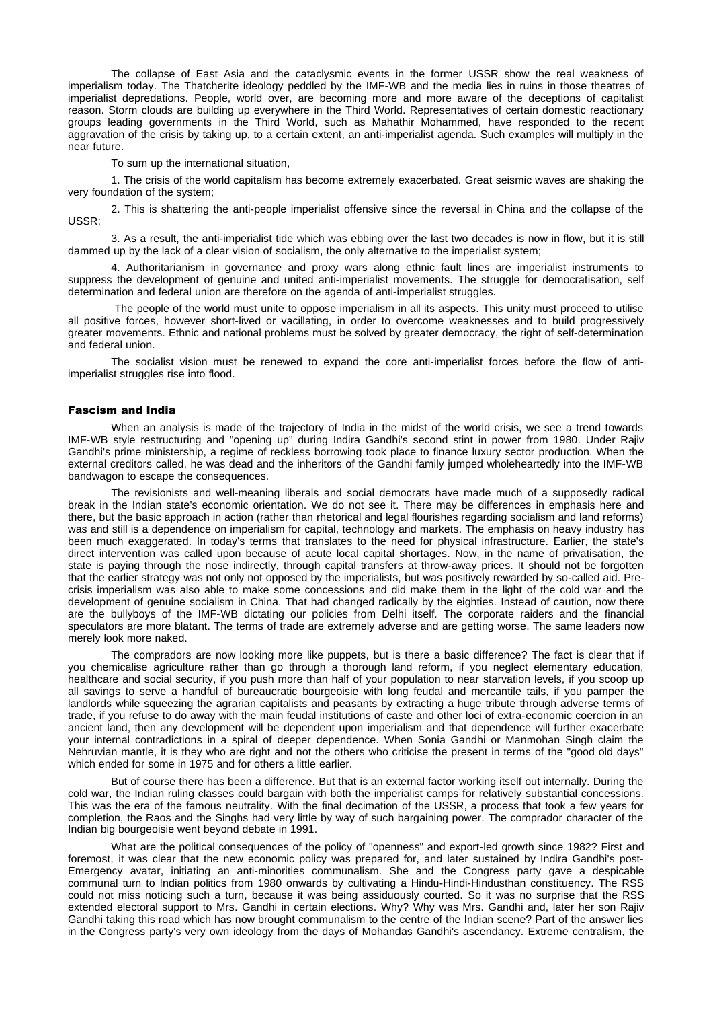The collapse of East Asia and the cataclysmic events in the former USSR show the real weakness of imperialism today. The Thatcherite ideology peddled by the IMF-WB and the media lies in ruins in those theatres of imperialist depredations. People, world over, are becoming more and more aware of the deceptions of capitalist reason. Storm clouds are building up everywhere in the Third World. Representatives of certain domestic reactionary groups leading governments in the Third World, such as Mahathir Mohammed, have responded to the recent aggravation of the crisis by taking up, to a certain extent, an anti-imperialist agenda. Such examples will multiply in the near future.

To sum up the international situation,

1. The crisis of the world capitalism has become extremely exacerbated. Great seismic waves are shaking the very foundation of the system;

2. This is shattering the anti-people imperialist offensive since the reversal in China and the collapse of the USSR;

3. As a result, the anti-imperialist tide which was ebbing over the last two decades is now in flow, but it is still dammed up by the lack of a clear vision of socialism, the only alternative to the imperialist system;

4. Authoritarianism in governance and proxy wars along ethnic fault lines are imperialist instruments to suppress the development of genuine and united anti-imperialist movements. The struggle for democratisation, self determination and federal union are therefore on the agenda of anti-imperialist struggles.

The people of the world must unite to oppose imperialism in all its aspects. This unity must proceed to utilise all positive forces, however short-lived or vacillating, in order to overcome weaknesses and to build progressively greater movements. Ethnic and national problems must be solved by greater democracy, the right of self-determination and federal union.

The socialist vision must be renewed to expand the core anti-imperialist forces before the flow of antiimperialist struggles rise into flood.

#### Fascism and India

When an analysis is made of the trajectory of India in the midst of the world crisis, we see a trend towards IMF-WB style restructuring and "opening up" during Indira Gandhi's second stint in power from 1980. Under Rajiv Gandhi's prime ministership, a regime of reckless borrowing took place to finance luxury sector production. When the external creditors called, he was dead and the inheritors of the Gandhi family jumped wholeheartedly into the IMF-WB bandwagon to escape the consequences.

The revisionists and well-meaning liberals and social democrats have made much of a supposedly radical break in the Indian state's economic orientation. We do not see it. There may be differences in emphasis here and there, but the basic approach in action (rather than rhetorical and legal flourishes regarding socialism and land reforms) was and still is a dependence on imperialism for capital, technology and markets. The emphasis on heavy industry has been much exaggerated. In today's terms that translates to the need for physical infrastructure. Earlier, the state's direct intervention was called upon because of acute local capital shortages. Now, in the name of privatisation, the state is paying through the nose indirectly, through capital transfers at throw-away prices. It should not be forgotten that the earlier strategy was not only not opposed by the imperialists, but was positively rewarded by so-called aid. Precrisis imperialism was also able to make some concessions and did make them in the light of the cold war and the development of genuine socialism in China. That had changed radically by the eighties. Instead of caution, now there are the bullyboys of the IMF-WB dictating our policies from Delhi itself. The corporate raiders and the financial speculators are more blatant. The terms of trade are extremely adverse and are getting worse. The same leaders now merely look more naked.

The compradors are now looking more like puppets, but is there a basic difference? The fact is clear that if you chemicalise agriculture rather than go through a thorough land reform, if you neglect elementary education, healthcare and social security, if you push more than half of your population to near starvation levels, if you scoop up all savings to serve a handful of bureaucratic bourgeoisie with long feudal and mercantile tails, if you pamper the landlords while squeezing the agrarian capitalists and peasants by extracting a huge tribute through adverse terms of trade, if you refuse to do away with the main feudal institutions of caste and other loci of extra-economic coercion in an ancient land, then any development will be dependent upon imperialism and that dependence will further exacerbate your internal contradictions in a spiral of deeper dependence. When Sonia Gandhi or Manmohan Singh claim the Nehruvian mantle, it is they who are right and not the others who criticise the present in terms of the "good old days" which ended for some in 1975 and for others a little earlier.

But of course there has been a difference. But that is an external factor working itself out internally. During the cold war, the Indian ruling classes could bargain with both the imperialist camps for relatively substantial concessions. This was the era of the famous neutrality. With the final decimation of the USSR, a process that took a few years for completion, the Raos and the Singhs had very little by way of such bargaining power. The comprador character of the Indian big bourgeoisie went beyond debate in 1991.

What are the political consequences of the policy of "openness" and export-led growth since 1982? First and foremost, it was clear that the new economic policy was prepared for, and later sustained by Indira Gandhi's post-Emergency avatar, initiating an anti-minorities communalism. She and the Congress party gave a despicable communal turn to Indian politics from 1980 onwards by cultivating a Hindu-Hindi-Hindusthan constituency. The RSS could not miss noticing such a turn, because it was being assiduously courted. So it was no surprise that the RSS extended electoral support to Mrs. Gandhi in certain elections. Why? Why was Mrs. Gandhi and, later her son Rajiv Gandhi taking this road which has now brought communalism to the centre of the Indian scene? Part of the answer lies in the Congress party's very own ideology from the days of Mohandas Gandhi's ascendancy. Extreme centralism, the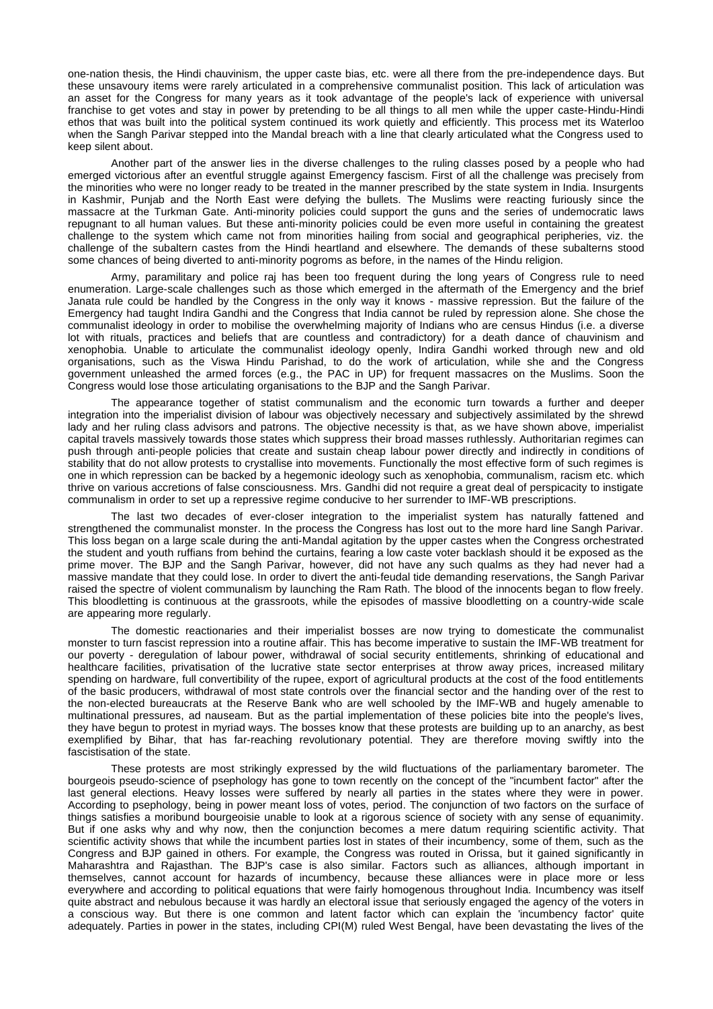one-nation thesis, the Hindi chauvinism, the upper caste bias, etc. were all there from the pre-independence days. But these unsavoury items were rarely articulated in a comprehensive communalist position. This lack of articulation was an asset for the Congress for many years as it took advantage of the people's lack of experience with universal franchise to get votes and stay in power by pretending to be all things to all men while the upper caste-Hindu-Hindi ethos that was built into the political system continued its work quietly and efficiently. This process met its Waterloo when the Sangh Parivar stepped into the Mandal breach with a line that clearly articulated what the Congress used to keep silent about.

Another part of the answer lies in the diverse challenges to the ruling classes posed by a people who had emerged victorious after an eventful struggle against Emergency fascism. First of all the challenge was precisely from the minorities who were no longer ready to be treated in the manner prescribed by the state system in India. Insurgents in Kashmir, Punjab and the North East were defying the bullets. The Muslims were reacting furiously since the massacre at the Turkman Gate. Anti-minority policies could support the guns and the series of undemocratic laws repugnant to all human values. But these anti-minority policies could be even more useful in containing the greatest challenge to the system which came not from minorities hailing from social and geographical peripheries, viz. the challenge of the subaltern castes from the Hindi heartland and elsewhere. The demands of these subalterns stood some chances of being diverted to anti-minority pogroms as before, in the names of the Hindu religion.

Army, paramilitary and police raj has been too frequent during the long years of Congress rule to need enumeration. Large-scale challenges such as those which emerged in the aftermath of the Emergency and the brief Janata rule could be handled by the Congress in the only way it knows - massive repression. But the failure of the Emergency had taught Indira Gandhi and the Congress that India cannot be ruled by repression alone. She chose the communalist ideology in order to mobilise the overwhelming majority of Indians who are census Hindus (i.e. a diverse lot with rituals, practices and beliefs that are countless and contradictory) for a death dance of chauvinism and xenophobia. Unable to articulate the communalist ideology openly, Indira Gandhi worked through new and old organisations, such as the Viswa Hindu Parishad, to do the work of articulation, while she and the Congress government unleashed the armed forces (e.g., the PAC in UP) for frequent massacres on the Muslims. Soon the Congress would lose those articulating organisations to the BJP and the Sangh Parivar.

The appearance together of statist communalism and the economic turn towards a further and deeper integration into the imperialist division of labour was objectively necessary and subjectively assimilated by the shrewd lady and her ruling class advisors and patrons. The objective necessity is that, as we have shown above, imperialist capital travels massively towards those states which suppress their broad masses ruthlessly. Authoritarian regimes can push through anti-people policies that create and sustain cheap labour power directly and indirectly in conditions of stability that do not allow protests to crystallise into movements. Functionally the most effective form of such regimes is one in which repression can be backed by a hegemonic ideology such as xenophobia, communalism, racism etc. which thrive on various accretions of false consciousness. Mrs. Gandhi did not require a great deal of perspicacity to instigate communalism in order to set up a repressive regime conducive to her surrender to IMF-WB prescriptions.

The last two decades of ever-closer integration to the imperialist system has naturally fattened and strengthened the communalist monster. In the process the Congress has lost out to the more hard line Sangh Parivar. This loss began on a large scale during the anti-Mandal agitation by the upper castes when the Congress orchestrated the student and youth ruffians from behind the curtains, fearing a low caste voter backlash should it be exposed as the prime mover. The BJP and the Sangh Parivar, however, did not have any such qualms as they had never had a massive mandate that they could lose. In order to divert the anti-feudal tide demanding reservations, the Sangh Parivar raised the spectre of violent communalism by launching the Ram Rath. The blood of the innocents began to flow freely. This bloodletting is continuous at the grassroots, while the episodes of massive bloodletting on a country-wide scale are appearing more regularly.

The domestic reactionaries and their imperialist bosses are now trying to domesticate the communalist monster to turn fascist repression into a routine affair. This has become imperative to sustain the IMF-WB treatment for our poverty - deregulation of labour power, withdrawal of social security entitlements, shrinking of educational and healthcare facilities, privatisation of the lucrative state sector enterprises at throw away prices, increased military spending on hardware, full convertibility of the rupee, export of agricultural products at the cost of the food entitlements of the basic producers, withdrawal of most state controls over the financial sector and the handing over of the rest to the non-elected bureaucrats at the Reserve Bank who are well schooled by the IMF-WB and hugely amenable to multinational pressures, ad nauseam. But as the partial implementation of these policies bite into the people's lives, they have begun to protest in myriad ways. The bosses know that these protests are building up to an anarchy, as best exemplified by Bihar, that has far-reaching revolutionary potential. They are therefore moving swiftly into the fascistisation of the state.

These protests are most strikingly expressed by the wild fluctuations of the parliamentary barometer. The bourgeois pseudo-science of psephology has gone to town recently on the concept of the "incumbent factor" after the last general elections. Heavy losses were suffered by nearly all parties in the states where they were in power. According to psephology, being in power meant loss of votes, period. The conjunction of two factors on the surface of things satisfies a moribund bourgeoisie unable to look at a rigorous science of society with any sense of equanimity. But if one asks why and why now, then the conjunction becomes a mere datum requiring scientific activity. That scientific activity shows that while the incumbent parties lost in states of their incumbency, some of them, such as the Congress and BJP gained in others. For example, the Congress was routed in Orissa, but it gained significantly in Maharashtra and Rajasthan. The BJP's case is also similar. Factors such as alliances, although important in themselves, cannot account for hazards of incumbency, because these alliances were in place more or less everywhere and according to political equations that were fairly homogenous throughout India. Incumbency was itself quite abstract and nebulous because it was hardly an electoral issue that seriously engaged the agency of the voters in a conscious way. But there is one common and latent factor which can explain the 'incumbency factor' quite adequately. Parties in power in the states, including CPI(M) ruled West Bengal, have been devastating the lives of the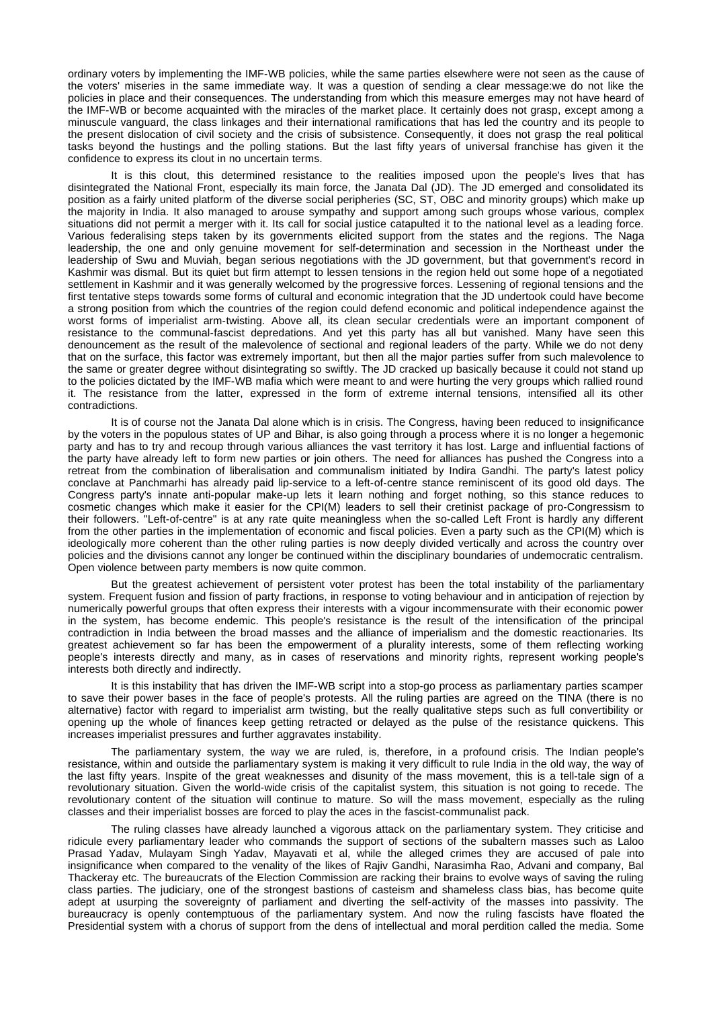ordinary voters by implementing the IMF-WB policies, while the same parties elsewhere were not seen as the cause of the voters' miseries in the same immediate way. It was a question of sending a clear message:we do not like the policies in place and their consequences. The understanding from which this measure emerges may not have heard of the IMF-WB or become acquainted with the miracles of the market place. It certainly does not grasp, except among a minuscule vanguard, the class linkages and their international ramifications that has led the country and its people to the present dislocation of civil society and the crisis of subsistence. Consequently, it does not grasp the real political tasks beyond the hustings and the polling stations. But the last fifty years of universal franchise has given it the confidence to express its clout in no uncertain terms.

It is this clout, this determined resistance to the realities imposed upon the people's lives that has disintegrated the National Front, especially its main force, the Janata Dal (JD). The JD emerged and consolidated its position as a fairly united platform of the diverse social peripheries (SC, ST, OBC and minority groups) which make up the majority in India. It also managed to arouse sympathy and support among such groups whose various, complex situations did not permit a merger with it. Its call for social justice catapulted it to the national level as a leading force. Various federalising steps taken by its governments elicited support from the states and the regions. The Naga leadership, the one and only genuine movement for self-determination and secession in the Northeast under the leadership of Swu and Muviah, began serious negotiations with the JD government, but that government's record in Kashmir was dismal. But its quiet but firm attempt to lessen tensions in the region held out some hope of a negotiated settlement in Kashmir and it was generally welcomed by the progressive forces. Lessening of regional tensions and the first tentative steps towards some forms of cultural and economic integration that the JD undertook could have become a strong position from which the countries of the region could defend economic and political independence against the worst forms of imperialist arm-twisting. Above all, its clean secular credentials were an important component of resistance to the communal-fascist depredations. And yet this party has all but vanished. Many have seen this denouncement as the result of the malevolence of sectional and regional leaders of the party. While we do not deny that on the surface, this factor was extremely important, but then all the major parties suffer from such malevolence to the same or greater degree without disintegrating so swiftly. The JD cracked up basically because it could not stand up to the policies dictated by the IMF-WB mafia which were meant to and were hurting the very groups which rallied round it. The resistance from the latter, expressed in the form of extreme internal tensions, intensified all its other contradictions.

It is of course not the Janata Dal alone which is in crisis. The Congress, having been reduced to insignificance by the voters in the populous states of UP and Bihar, is also going through a process where it is no longer a hegemonic party and has to try and recoup through various alliances the vast territory it has lost. Large and influential factions of the party have already left to form new parties or join others. The need for alliances has pushed the Congress into a retreat from the combination of liberalisation and communalism initiated by Indira Gandhi. The party's latest policy conclave at Panchmarhi has already paid lip-service to a left-of-centre stance reminiscent of its good old days. The Congress party's innate anti-popular make-up lets it learn nothing and forget nothing, so this stance reduces to cosmetic changes which make it easier for the CPI(M) leaders to sell their cretinist package of pro-Congressism to their followers. "Left-of-centre" is at any rate quite meaningless when the so-called Left Front is hardly any different from the other parties in the implementation of economic and fiscal policies. Even a party such as the CPI(M) which is ideologically more coherent than the other ruling parties is now deeply divided vertically and across the country over policies and the divisions cannot any longer be continued within the disciplinary boundaries of undemocratic centralism. Open violence between party members is now quite common.

But the greatest achievement of persistent voter protest has been the total instability of the parliamentary system. Frequent fusion and fission of party fractions, in response to voting behaviour and in anticipation of rejection by numerically powerful groups that often express their interests with a vigour incommensurate with their economic power in the system, has become endemic. This people's resistance is the result of the intensification of the principal contradiction in India between the broad masses and the alliance of imperialism and the domestic reactionaries. Its greatest achievement so far has been the empowerment of a plurality interests, some of them reflecting working people's interests directly and many, as in cases of reservations and minority rights, represent working people's interests both directly and indirectly.

It is this instability that has driven the IMF-WB script into a stop-go process as parliamentary parties scamper to save their power bases in the face of people's protests. All the ruling parties are agreed on the TINA (there is no alternative) factor with regard to imperialist arm twisting, but the really qualitative steps such as full convertibility or opening up the whole of finances keep getting retracted or delayed as the pulse of the resistance quickens. This increases imperialist pressures and further aggravates instability.

The parliamentary system, the way we are ruled, is, therefore, in a profound crisis. The Indian people's resistance, within and outside the parliamentary system is making it very difficult to rule India in the old way, the way of the last fifty years. Inspite of the great weaknesses and disunity of the mass movement, this is a tell-tale sign of a revolutionary situation. Given the world-wide crisis of the capitalist system, this situation is not going to recede. The revolutionary content of the situation will continue to mature. So will the mass movement, especially as the ruling classes and their imperialist bosses are forced to play the aces in the fascist-communalist pack.

The ruling classes have already launched a vigorous attack on the parliamentary system. They criticise and ridicule every parliamentary leader who commands the support of sections of the subaltern masses such as Laloo Prasad Yadav, Mulayam Singh Yadav, Mayavati et al, while the alleged crimes they are accused of pale into insignificance when compared to the venality of the likes of Rajiv Gandhi, Narasimha Rao, Advani and company, Bal Thackeray etc. The bureaucrats of the Election Commission are racking their brains to evolve ways of saving the ruling class parties. The judiciary, one of the strongest bastions of casteism and shameless class bias, has become quite adept at usurping the sovereignty of parliament and diverting the self-activity of the masses into passivity. The bureaucracy is openly contemptuous of the parliamentary system. And now the ruling fascists have floated the Presidential system with a chorus of support from the dens of intellectual and moral perdition called the media. Some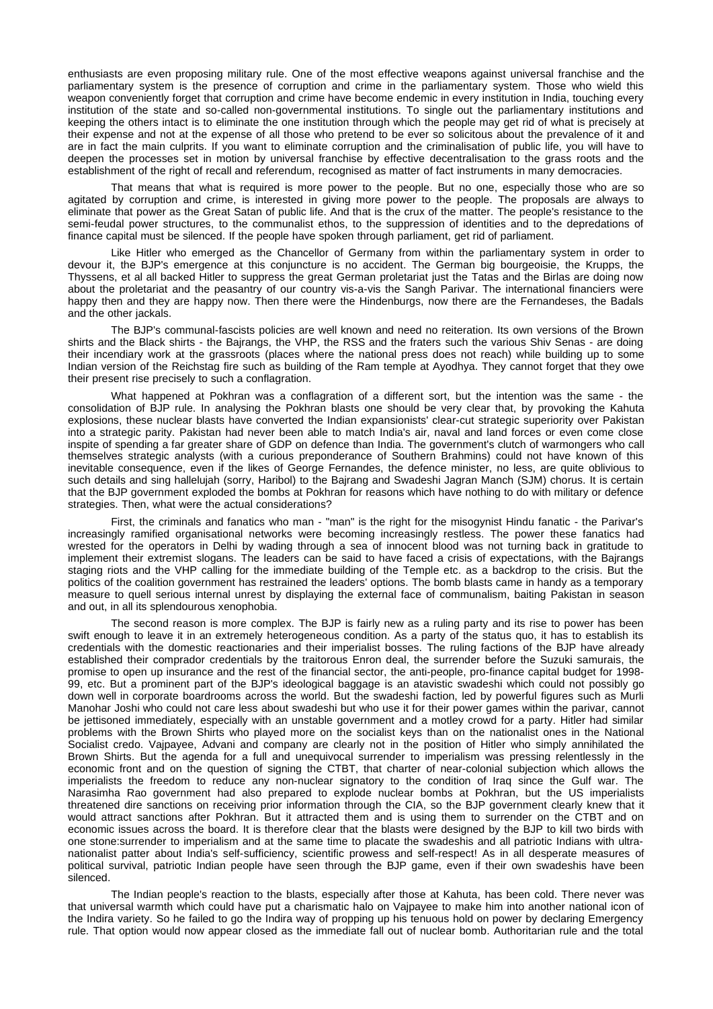enthusiasts are even proposing military rule. One of the most effective weapons against universal franchise and the parliamentary system is the presence of corruption and crime in the parliamentary system. Those who wield this weapon conveniently forget that corruption and crime have become endemic in every institution in India, touching every institution of the state and so-called non-governmental institutions. To single out the parliamentary institutions and keeping the others intact is to eliminate the one institution through which the people may get rid of what is precisely at their expense and not at the expense of all those who pretend to be ever so solicitous about the prevalence of it and are in fact the main culprits. If you want to eliminate corruption and the criminalisation of public life, you will have to deepen the processes set in motion by universal franchise by effective decentralisation to the grass roots and the establishment of the right of recall and referendum, recognised as matter of fact instruments in many democracies.

That means that what is required is more power to the people. But no one, especially those who are so agitated by corruption and crime, is interested in giving more power to the people. The proposals are always to eliminate that power as the Great Satan of public life. And that is the crux of the matter. The people's resistance to the semi-feudal power structures, to the communalist ethos, to the suppression of identities and to the depredations of finance capital must be silenced. If the people have spoken through parliament, get rid of parliament.

Like Hitler who emerged as the Chancellor of Germany from within the parliamentary system in order to devour it, the BJP's emergence at this conjuncture is no accident. The German big bourgeoisie, the Krupps, the Thyssens, et al all backed Hitler to suppress the great German proletariat just the Tatas and the Birlas are doing now about the proletariat and the peasantry of our country vis-a-vis the Sangh Parivar. The international financiers were happy then and they are happy now. Then there were the Hindenburgs, now there are the Fernandeses, the Badals and the other jackals.

The BJP's communal-fascists policies are well known and need no reiteration. Its own versions of the Brown shirts and the Black shirts - the Bajrangs, the VHP, the RSS and the fraters such the various Shiv Senas - are doing their incendiary work at the grassroots (places where the national press does not reach) while building up to some Indian version of the Reichstag fire such as building of the Ram temple at Ayodhya. They cannot forget that they owe their present rise precisely to such a conflagration.

What happened at Pokhran was a conflagration of a different sort, but the intention was the same - the consolidation of BJP rule. In analysing the Pokhran blasts one should be very clear that, by provoking the Kahuta explosions, these nuclear blasts have converted the Indian expansionists' clear-cut strategic superiority over Pakistan into a strategic parity. Pakistan had never been able to match India's air, naval and land forces or even come close inspite of spending a far greater share of GDP on defence than India. The government's clutch of warmongers who call themselves strategic analysts (with a curious preponderance of Southern Brahmins) could not have known of this inevitable consequence, even if the likes of George Fernandes, the defence minister, no less, are quite oblivious to such details and sing hallelujah (sorry, Haribol) to the Bajrang and Swadeshi Jagran Manch (SJM) chorus. It is certain that the BJP government exploded the bombs at Pokhran for reasons which have nothing to do with military or defence strategies. Then, what were the actual considerations?

First, the criminals and fanatics who man - "man" is the right for the misogynist Hindu fanatic - the Parivar's increasingly ramified organisational networks were becoming increasingly restless. The power these fanatics had wrested for the operators in Delhi by wading through a sea of innocent blood was not turning back in gratitude to implement their extremist slogans. The leaders can be said to have faced a crisis of expectations, with the Bajrangs staging riots and the VHP calling for the immediate building of the Temple etc. as a backdrop to the crisis. But the politics of the coalition government has restrained the leaders' options. The bomb blasts came in handy as a temporary measure to quell serious internal unrest by displaying the external face of communalism, baiting Pakistan in season and out, in all its splendourous xenophobia.

The second reason is more complex. The BJP is fairly new as a ruling party and its rise to power has been swift enough to leave it in an extremely heterogeneous condition. As a party of the status quo, it has to establish its credentials with the domestic reactionaries and their imperialist bosses. The ruling factions of the BJP have already established their comprador credentials by the traitorous Enron deal, the surrender before the Suzuki samurais, the promise to open up insurance and the rest of the financial sector, the anti-people, pro-finance capital budget for 1998- 99, etc. But a prominent part of the BJP's ideological baggage is an atavistic swadeshi which could not possibly go down well in corporate boardrooms across the world. But the swadeshi faction, led by powerful figures such as Murli Manohar Joshi who could not care less about swadeshi but who use it for their power games within the parivar, cannot be jettisoned immediately, especially with an unstable government and a motley crowd for a party. Hitler had similar problems with the Brown Shirts who played more on the socialist keys than on the nationalist ones in the National Socialist credo. Vajpayee, Advani and company are clearly not in the position of Hitler who simply annihilated the Brown Shirts. But the agenda for a full and unequivocal surrender to imperialism was pressing relentlessly in the economic front and on the question of signing the CTBT, that charter of near-colonial subjection which allows the imperialists the freedom to reduce any non-nuclear signatory to the condition of Iraq since the Gulf war. The Narasimha Rao government had also prepared to explode nuclear bombs at Pokhran, but the US imperialists threatened dire sanctions on receiving prior information through the CIA, so the BJP government clearly knew that it would attract sanctions after Pokhran. But it attracted them and is using them to surrender on the CTBT and on economic issues across the board. It is therefore clear that the blasts were designed by the BJP to kill two birds with one stone:surrender to imperialism and at the same time to placate the swadeshis and all patriotic Indians with ultranationalist patter about India's self-sufficiency, scientific prowess and self-respect! As in all desperate measures of political survival, patriotic Indian people have seen through the BJP game, even if their own swadeshis have been silenced.

The Indian people's reaction to the blasts, especially after those at Kahuta, has been cold. There never was that universal warmth which could have put a charismatic halo on Vajpayee to make him into another national icon of the Indira variety. So he failed to go the Indira way of propping up his tenuous hold on power by declaring Emergency rule. That option would now appear closed as the immediate fall out of nuclear bomb. Authoritarian rule and the total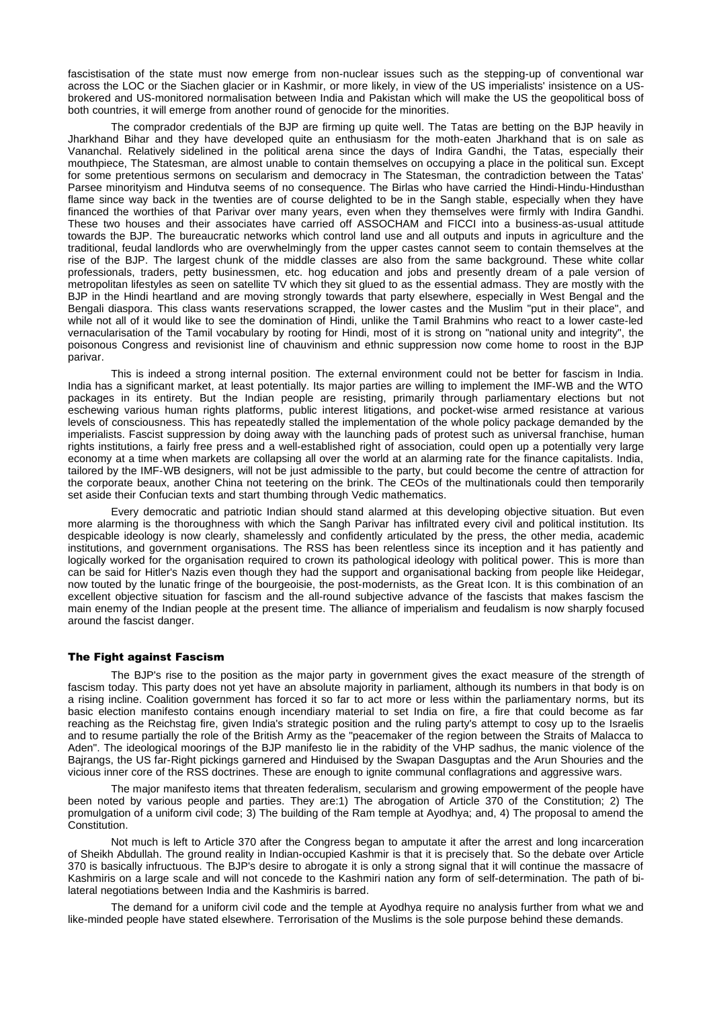fascistisation of the state must now emerge from non-nuclear issues such as the stepping-up of conventional war across the LOC or the Siachen glacier or in Kashmir, or more likely, in view of the US imperialists' insistence on a USbrokered and US-monitored normalisation between India and Pakistan which will make the US the geopolitical boss of both countries, it will emerge from another round of genocide for the minorities.

The comprador credentials of the BJP are firming up quite well. The Tatas are betting on the BJP heavily in Jharkhand Bihar and they have developed quite an enthusiasm for the moth-eaten Jharkhand that is on sale as Vananchal. Relatively sidelined in the political arena since the days of Indira Gandhi, the Tatas, especially their mouthpiece, The Statesman, are almost unable to contain themselves on occupying a place in the political sun. Except for some pretentious sermons on secularism and democracy in The Statesman, the contradiction between the Tatas' Parsee minorityism and Hindutva seems of no consequence. The Birlas who have carried the Hindi-Hindu-Hindusthan flame since way back in the twenties are of course delighted to be in the Sangh stable, especially when they have financed the worthies of that Parivar over many years, even when they themselves were firmly with Indira Gandhi. These two houses and their associates have carried off ASSOCHAM and FICCI into a business-as-usual attitude towards the BJP. The bureaucratic networks which control land use and all outputs and inputs in agriculture and the traditional, feudal landlords who are overwhelmingly from the upper castes cannot seem to contain themselves at the rise of the BJP. The largest chunk of the middle classes are also from the same background. These white collar professionals, traders, petty businessmen, etc. hog education and jobs and presently dream of a pale version of metropolitan lifestyles as seen on satellite TV which they sit glued to as the essential admass. They are mostly with the BJP in the Hindi heartland and are moving strongly towards that party elsewhere, especially in West Bengal and the Bengali diaspora. This class wants reservations scrapped, the lower castes and the Muslim "put in their place", and while not all of it would like to see the domination of Hindi, unlike the Tamil Brahmins who react to a lower caste-led vernacularisation of the Tamil vocabulary by rooting for Hindi, most of it is strong on "national unity and integrity", the poisonous Congress and revisionist line of chauvinism and ethnic suppression now come home to roost in the BJP parivar.

This is indeed a strong internal position. The external environment could not be better for fascism in India. India has a significant market, at least potentially. Its major parties are willing to implement the IMF-WB and the WTO packages in its entirety. But the Indian people are resisting, primarily through parliamentary elections but not eschewing various human rights platforms, public interest litigations, and pocket-wise armed resistance at various levels of consciousness. This has repeatedly stalled the implementation of the whole policy package demanded by the imperialists. Fascist suppression by doing away with the launching pads of protest such as universal franchise, human rights institutions, a fairly free press and a well-established right of association, could open up a potentially very large economy at a time when markets are collapsing all over the world at an alarming rate for the finance capitalists. India, tailored by the IMF-WB designers, will not be just admissible to the party, but could become the centre of attraction for the corporate beaux, another China not teetering on the brink. The CEOs of the multinationals could then temporarily set aside their Confucian texts and start thumbing through Vedic mathematics.

Every democratic and patriotic Indian should stand alarmed at this developing objective situation. But even more alarming is the thoroughness with which the Sangh Parivar has infiltrated every civil and political institution. Its despicable ideology is now clearly, shamelessly and confidently articulated by the press, the other media, academic institutions, and government organisations. The RSS has been relentless since its inception and it has patiently and logically worked for the organisation required to crown its pathological ideology with political power. This is more than can be said for Hitler's Nazis even though they had the support and organisational backing from people like Heidegar, now touted by the lunatic fringe of the bourgeoisie, the post-modernists, as the Great Icon. It is this combination of an excellent objective situation for fascism and the all-round subjective advance of the fascists that makes fascism the main enemy of the Indian people at the present time. The alliance of imperialism and feudalism is now sharply focused around the fascist danger.

### The Fight against Fascism

The BJP's rise to the position as the major party in government gives the exact measure of the strength of fascism today. This party does not yet have an absolute majority in parliament, although its numbers in that body is on a rising incline. Coalition government has forced it so far to act more or less within the parliamentary norms, but its basic election manifesto contains enough incendiary material to set India on fire, a fire that could become as far reaching as the Reichstag fire, given India's strategic position and the ruling party's attempt to cosy up to the Israelis and to resume partially the role of the British Army as the "peacemaker of the region between the Straits of Malacca to Aden". The ideological moorings of the BJP manifesto lie in the rabidity of the VHP sadhus, the manic violence of the Bajrangs, the US far-Right pickings garnered and Hinduised by the Swapan Dasguptas and the Arun Shouries and the vicious inner core of the RSS doctrines. These are enough to ignite communal conflagrations and aggressive wars.

The major manifesto items that threaten federalism, secularism and growing empowerment of the people have been noted by various people and parties. They are:1) The abrogation of Article 370 of the Constitution; 2) The promulgation of a uniform civil code; 3) The building of the Ram temple at Ayodhya; and, 4) The proposal to amend the Constitution.

Not much is left to Article 370 after the Congress began to amputate it after the arrest and long incarceration of Sheikh Abdullah. The ground reality in Indian-occupied Kashmir is that it is precisely that. So the debate over Article 370 is basically infructuous. The BJP's desire to abrogate it is only a strong signal that it will continue the massacre of Kashmiris on a large scale and will not concede to the Kashmiri nation any form of self-determination. The path of bilateral negotiations between India and the Kashmiris is barred.

The demand for a uniform civil code and the temple at Ayodhya require no analysis further from what we and like-minded people have stated elsewhere. Terrorisation of the Muslims is the sole purpose behind these demands.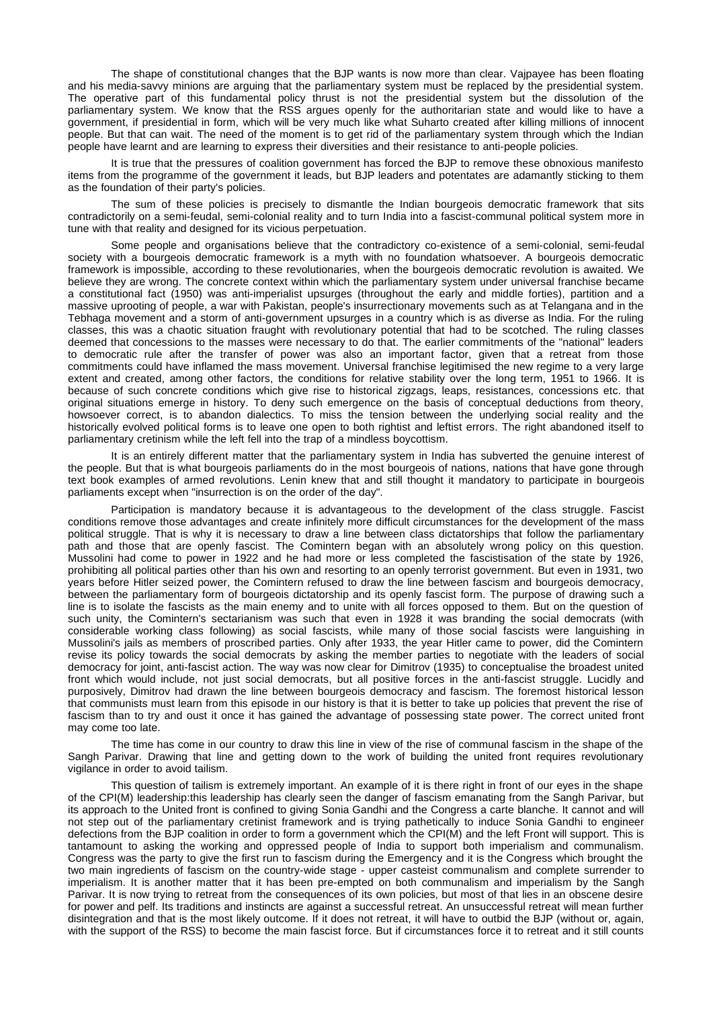The shape of constitutional changes that the BJP wants is now more than clear. Vajpayee has been floating and his media-savvy minions are arguing that the parliamentary system must be replaced by the presidential system. The operative part of this fundamental policy thrust is not the presidential system but the dissolution of the parliamentary system. We know that the RSS argues openly for the authoritarian state and would like to have a government, if presidential in form, which will be very much like what Suharto created after killing millions of innocent people. But that can wait. The need of the moment is to get rid of the parliamentary system through which the Indian people have learnt and are learning to express their diversities and their resistance to anti-people policies.

It is true that the pressures of coalition government has forced the BJP to remove these obnoxious manifesto items from the programme of the government it leads, but BJP leaders and potentates are adamantly sticking to them as the foundation of their party's policies.

The sum of these policies is precisely to dismantle the Indian bourgeois democratic framework that sits contradictorily on a semi-feudal, semi-colonial reality and to turn India into a fascist-communal political system more in tune with that reality and designed for its vicious perpetuation.

Some people and organisations believe that the contradictory co-existence of a semi-colonial, semi-feudal society with a bourgeois democratic framework is a myth with no foundation whatsoever. A bourgeois democratic framework is impossible, according to these revolutionaries, when the bourgeois democratic revolution is awaited. We believe they are wrong. The concrete context within which the parliamentary system under universal franchise became a constitutional fact (1950) was anti-imperialist upsurges (throughout the early and middle forties), partition and a massive uprooting of people, a war with Pakistan, people's insurrectionary movements such as at Telangana and in the Tebhaga movement and a storm of anti-government upsurges in a country which is as diverse as India. For the ruling classes, this was a chaotic situation fraught with revolutionary potential that had to be scotched. The ruling classes deemed that concessions to the masses were necessary to do that. The earlier commitments of the "national" leaders to democratic rule after the transfer of power was also an important factor, given that a retreat from those commitments could have inflamed the mass movement. Universal franchise legitimised the new regime to a very large extent and created, among other factors, the conditions for relative stability over the long term, 1951 to 1966. It is because of such concrete conditions which give rise to historical zigzags, leaps, resistances, concessions etc. that original situations emerge in history. To deny such emergence on the basis of conceptual deductions from theory, howsoever correct, is to abandon dialectics. To miss the tension between the underlying social reality and the historically evolved political forms is to leave one open to both rightist and leftist errors. The right abandoned itself to parliamentary cretinism while the left fell into the trap of a mindless boycottism.

It is an entirely different matter that the parliamentary system in India has subverted the genuine interest of the people. But that is what bourgeois parliaments do in the most bourgeois of nations, nations that have gone through text book examples of armed revolutions. Lenin knew that and still thought it mandatory to participate in bourgeois parliaments except when "insurrection is on the order of the day".

Participation is mandatory because it is advantageous to the development of the class struggle. Fascist conditions remove those advantages and create infinitely more difficult circumstances for the development of the mass political struggle. That is why it is necessary to draw a line between class dictatorships that follow the parliamentary path and those that are openly fascist. The Comintern began with an absolutely wrong policy on this question. Mussolini had come to power in 1922 and he had more or less completed the fascistisation of the state by 1926, prohibiting all political parties other than his own and resorting to an openly terrorist government. But even in 1931, two years before Hitler seized power, the Comintern refused to draw the line between fascism and bourgeois democracy, between the parliamentary form of bourgeois dictatorship and its openly fascist form. The purpose of drawing such a line is to isolate the fascists as the main enemy and to unite with all forces opposed to them. But on the question of such unity, the Comintern's sectarianism was such that even in 1928 it was branding the social democrats (with considerable working class following) as social fascists, while many of those social fascists were languishing in Mussolini's jails as members of proscribed parties. Only after 1933, the year Hitler came to power, did the Comintern revise its policy towards the social democrats by asking the member parties to negotiate with the leaders of social democracy for joint, anti-fascist action. The way was now clear for Dimitrov (1935) to conceptualise the broadest united front which would include, not just social democrats, but all positive forces in the anti-fascist struggle. Lucidly and purposively, Dimitrov had drawn the line between bourgeois democracy and fascism. The foremost historical lesson that communists must learn from this episode in our history is that it is better to take up policies that prevent the rise of fascism than to try and oust it once it has gained the advantage of possessing state power. The correct united front may come too late.

The time has come in our country to draw this line in view of the rise of communal fascism in the shape of the Sangh Parivar. Drawing that line and getting down to the work of building the united front requires revolutionary vigilance in order to avoid tailism.

This question of tailism is extremely important. An example of it is there right in front of our eyes in the shape of the CPI(M) leadership:this leadership has clearly seen the danger of fascism emanating from the Sangh Parivar, but its approach to the United front is confined to giving Sonia Gandhi and the Congress a carte blanche. It cannot and will not step out of the parliamentary cretinist framework and is trying pathetically to induce Sonia Gandhi to engineer defections from the BJP coalition in order to form a government which the CPI(M) and the left Front will support. This is tantamount to asking the working and oppressed people of India to support both imperialism and communalism. Congress was the party to give the first run to fascism during the Emergency and it is the Congress which brought the two main ingredients of fascism on the country-wide stage - upper casteist communalism and complete surrender to imperialism. It is another matter that it has been pre-empted on both communalism and imperialism by the Sangh Parivar. It is now trying to retreat from the consequences of its own policies, but most of that lies in an obscene desire for power and pelf. Its traditions and instincts are against a successful retreat. An unsuccessful retreat will mean further disintegration and that is the most likely outcome. If it does not retreat, it will have to outbid the BJP (without or, again, with the support of the RSS) to become the main fascist force. But if circumstances force it to retreat and it still counts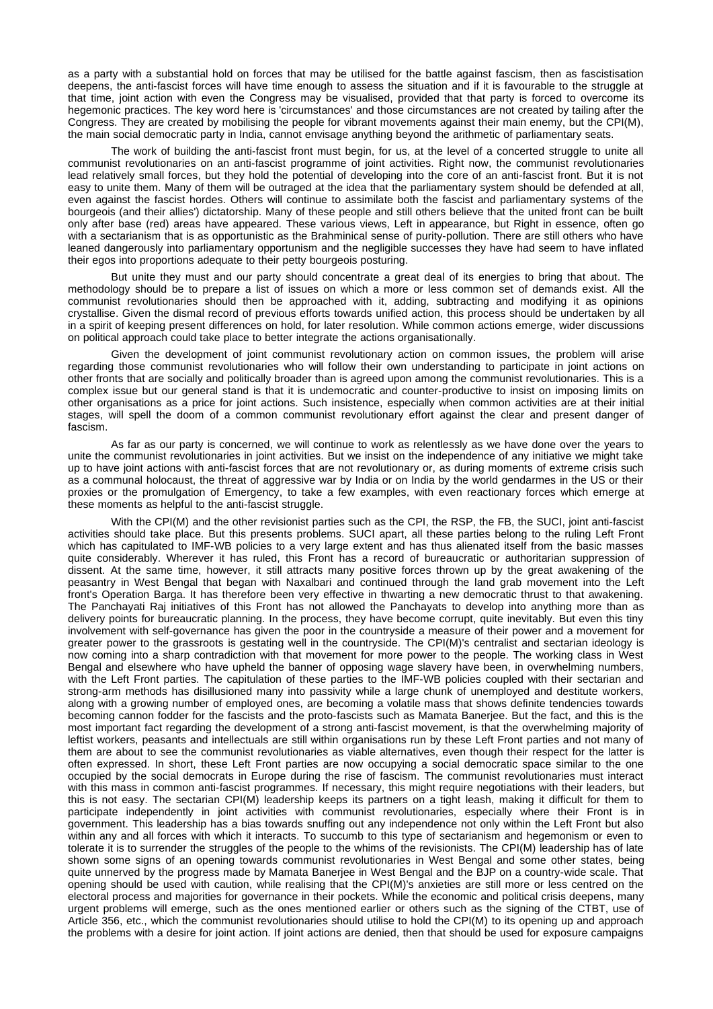as a party with a substantial hold on forces that may be utilised for the battle against fascism, then as fascistisation deepens, the anti-fascist forces will have time enough to assess the situation and if it is favourable to the struggle at that time, joint action with even the Congress may be visualised, provided that that party is forced to overcome its hegemonic practices. The key word here is 'circumstances' and those circumstances are not created by tailing after the Congress. They are created by mobilising the people for vibrant movements against their main enemy, but the CPI(M), the main social democratic party in India, cannot envisage anything beyond the arithmetic of parliamentary seats.

The work of building the anti-fascist front must begin, for us, at the level of a concerted struggle to unite all communist revolutionaries on an anti-fascist programme of joint activities. Right now, the communist revolutionaries lead relatively small forces, but they hold the potential of developing into the core of an anti-fascist front. But it is not easy to unite them. Many of them will be outraged at the idea that the parliamentary system should be defended at all, even against the fascist hordes. Others will continue to assimilate both the fascist and parliamentary systems of the bourgeois (and their allies') dictatorship. Many of these people and still others believe that the united front can be built only after base (red) areas have appeared. These various views, Left in appearance, but Right in essence, often go with a sectarianism that is as opportunistic as the Brahminical sense of purity-pollution. There are still others who have leaned dangerously into parliamentary opportunism and the negligible successes they have had seem to have inflated their egos into proportions adequate to their petty bourgeois posturing.

But unite they must and our party should concentrate a great deal of its energies to bring that about. The methodology should be to prepare a list of issues on which a more or less common set of demands exist. All the communist revolutionaries should then be approached with it, adding, subtracting and modifying it as opinions crystallise. Given the dismal record of previous efforts towards unified action, this process should be undertaken by all in a spirit of keeping present differences on hold, for later resolution. While common actions emerge, wider discussions on political approach could take place to better integrate the actions organisationally.

Given the development of joint communist revolutionary action on common issues, the problem will arise regarding those communist revolutionaries who will follow their own understanding to participate in joint actions on other fronts that are socially and politically broader than is agreed upon among the communist revolutionaries. This is a complex issue but our general stand is that it is undemocratic and counter-productive to insist on imposing limits on other organisations as a price for joint actions. Such insistence, especially when common activities are at their initial stages, will spell the doom of a common communist revolutionary effort against the clear and present danger of fascism.

As far as our party is concerned, we will continue to work as relentlessly as we have done over the years to unite the communist revolutionaries in joint activities. But we insist on the independence of any initiative we might take up to have joint actions with anti-fascist forces that are not revolutionary or, as during moments of extreme crisis such as a communal holocaust, the threat of aggressive war by India or on India by the world gendarmes in the US or their proxies or the promulgation of Emergency, to take a few examples, with even reactionary forces which emerge at these moments as helpful to the anti-fascist struggle.

With the CPI(M) and the other revisionist parties such as the CPI, the RSP, the FB, the SUCI, joint anti-fascist activities should take place. But this presents problems. SUCI apart, all these parties belong to the ruling Left Front which has capitulated to IMF-WB policies to a very large extent and has thus alienated itself from the basic masses quite considerably. Wherever it has ruled, this Front has a record of bureaucratic or authoritarian suppression of dissent. At the same time, however, it still attracts many positive forces thrown up by the great awakening of the peasantry in West Bengal that began with Naxalbari and continued through the land grab movement into the Left front's Operation Barga. It has therefore been very effective in thwarting a new democratic thrust to that awakening. The Panchayati Raj initiatives of this Front has not allowed the Panchayats to develop into anything more than as delivery points for bureaucratic planning. In the process, they have become corrupt, quite inevitably. But even this tiny involvement with self-governance has given the poor in the countryside a measure of their power and a movement for greater power to the grassroots is gestating well in the countryside. The CPI(M)'s centralist and sectarian ideology is now coming into a sharp contradiction with that movement for more power to the people. The working class in West Bengal and elsewhere who have upheld the banner of opposing wage slavery have been, in overwhelming numbers, with the Left Front parties. The capitulation of these parties to the IMF-WB policies coupled with their sectarian and strong-arm methods has disillusioned many into passivity while a large chunk of unemployed and destitute workers, along with a growing number of employed ones, are becoming a volatile mass that shows definite tendencies towards becoming cannon fodder for the fascists and the proto-fascists such as Mamata Banerjee. But the fact, and this is the most important fact regarding the development of a strong anti-fascist movement, is that the overwhelming majority of leftist workers, peasants and intellectuals are still within organisations run by these Left Front parties and not many of them are about to see the communist revolutionaries as viable alternatives, even though their respect for the latter is often expressed. In short, these Left Front parties are now occupying a social democratic space similar to the one occupied by the social democrats in Europe during the rise of fascism. The communist revolutionaries must interact with this mass in common anti-fascist programmes. If necessary, this might require negotiations with their leaders, but this is not easy. The sectarian CPI(M) leadership keeps its partners on a tight leash, making it difficult for them to participate independently in joint activities with communist revolutionaries, especially where their Front is in government. This leadership has a bias towards snuffing out any independence not only within the Left Front but also within any and all forces with which it interacts. To succumb to this type of sectarianism and hegemonism or even to tolerate it is to surrender the struggles of the people to the whims of the revisionists. The CPI(M) leadership has of late shown some signs of an opening towards communist revolutionaries in West Bengal and some other states, being quite unnerved by the progress made by Mamata Banerjee in West Bengal and the BJP on a country-wide scale. That opening should be used with caution, while realising that the CPI(M)'s anxieties are still more or less centred on the electoral process and majorities for governance in their pockets. While the economic and political crisis deepens, many urgent problems will emerge, such as the ones mentioned earlier or others such as the signing of the CTBT, use of Article 356, etc., which the communist revolutionaries should utilise to hold the CPI(M) to its opening up and approach the problems with a desire for joint action. If joint actions are denied, then that should be used for exposure campaigns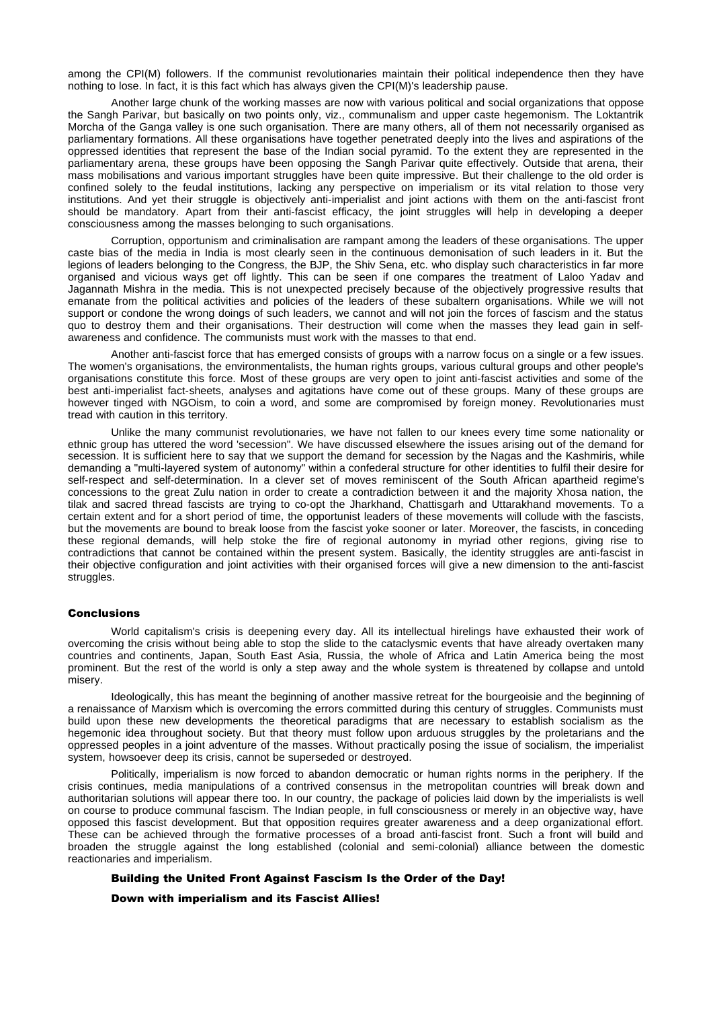among the CPI(M) followers. If the communist revolutionaries maintain their political independence then they have nothing to lose. In fact, it is this fact which has always given the CPI(M)'s leadership pause.

Another large chunk of the working masses are now with various political and social organizations that oppose the Sangh Parivar, but basically on two points only, viz., communalism and upper caste hegemonism. The Loktantrik Morcha of the Ganga valley is one such organisation. There are many others, all of them not necessarily organised as parliamentary formations. All these organisations have together penetrated deeply into the lives and aspirations of the oppressed identities that represent the base of the Indian social pyramid. To the extent they are represented in the parliamentary arena, these groups have been opposing the Sangh Parivar quite effectively. Outside that arena, their mass mobilisations and various important struggles have been quite impressive. But their challenge to the old order is confined solely to the feudal institutions, lacking any perspective on imperialism or its vital relation to those very institutions. And yet their struggle is objectively anti-imperialist and joint actions with them on the anti-fascist front should be mandatory. Apart from their anti-fascist efficacy, the joint struggles will help in developing a deeper consciousness among the masses belonging to such organisations.

Corruption, opportunism and criminalisation are rampant among the leaders of these organisations. The upper caste bias of the media in India is most clearly seen in the continuous demonisation of such leaders in it. But the legions of leaders belonging to the Congress, the BJP, the Shiv Sena, etc. who display such characteristics in far more organised and vicious ways get off lightly. This can be seen if one compares the treatment of Laloo Yadav and Jagannath Mishra in the media. This is not unexpected precisely because of the objectively progressive results that emanate from the political activities and policies of the leaders of these subaltern organisations. While we will not support or condone the wrong doings of such leaders, we cannot and will not join the forces of fascism and the status quo to destroy them and their organisations. Their destruction will come when the masses they lead gain in selfawareness and confidence. The communists must work with the masses to that end.

Another anti-fascist force that has emerged consists of groups with a narrow focus on a single or a few issues. The women's organisations, the environmentalists, the human rights groups, various cultural groups and other people's organisations constitute this force. Most of these groups are very open to joint anti-fascist activities and some of the best anti-imperialist fact-sheets, analyses and agitations have come out of these groups. Many of these groups are however tinged with NGOism, to coin a word, and some are compromised by foreign money. Revolutionaries must tread with caution in this territory.

Unlike the many communist revolutionaries, we have not fallen to our knees every time some nationality or ethnic group has uttered the word 'secession". We have discussed elsewhere the issues arising out of the demand for secession. It is sufficient here to say that we support the demand for secession by the Nagas and the Kashmiris, while demanding a "multi-layered system of autonomy" within a confederal structure for other identities to fulfil their desire for self-respect and self-determination. In a clever set of moves reminiscent of the South African apartheid regime's concessions to the great Zulu nation in order to create a contradiction between it and the majority Xhosa nation, the tilak and sacred thread fascists are trying to co-opt the Jharkhand, Chattisgarh and Uttarakhand movements. To a certain extent and for a short period of time, the opportunist leaders of these movements will collude with the fascists, but the movements are bound to break loose from the fascist yoke sooner or later. Moreover, the fascists, in conceding these regional demands, will help stoke the fire of regional autonomy in myriad other regions, giving rise to contradictions that cannot be contained within the present system. Basically, the identity struggles are anti-fascist in their objective configuration and joint activities with their organised forces will give a new dimension to the anti-fascist struggles.

#### **Conclusions**

World capitalism's crisis is deepening every day. All its intellectual hirelings have exhausted their work of overcoming the crisis without being able to stop the slide to the cataclysmic events that have already overtaken many countries and continents, Japan, South East Asia, Russia, the whole of Africa and Latin America being the most prominent. But the rest of the world is only a step away and the whole system is threatened by collapse and untold misery.

Ideologically, this has meant the beginning of another massive retreat for the bourgeoisie and the beginning of a renaissance of Marxism which is overcoming the errors committed during this century of struggles. Communists must build upon these new developments the theoretical paradigms that are necessary to establish socialism as the hegemonic idea throughout society. But that theory must follow upon arduous struggles by the proletarians and the oppressed peoples in a joint adventure of the masses. Without practically posing the issue of socialism, the imperialist system, howsoever deep its crisis, cannot be superseded or destroyed.

Politically, imperialism is now forced to abandon democratic or human rights norms in the periphery. If the crisis continues, media manipulations of a contrived consensus in the metropolitan countries will break down and authoritarian solutions will appear there too. In our country, the package of policies laid down by the imperialists is well on course to produce communal fascism. The Indian people, in full consciousness or merely in an objective way, have opposed this fascist development. But that opposition requires greater awareness and a deep organizational effort. These can be achieved through the formative processes of a broad anti-fascist front. Such a front will build and broaden the struggle against the long established (colonial and semi-colonial) alliance between the domestic reactionaries and imperialism.

## Building the United Front Against Fascism Is the Order of the Day!

Down with imperialism and its Fascist Allies!